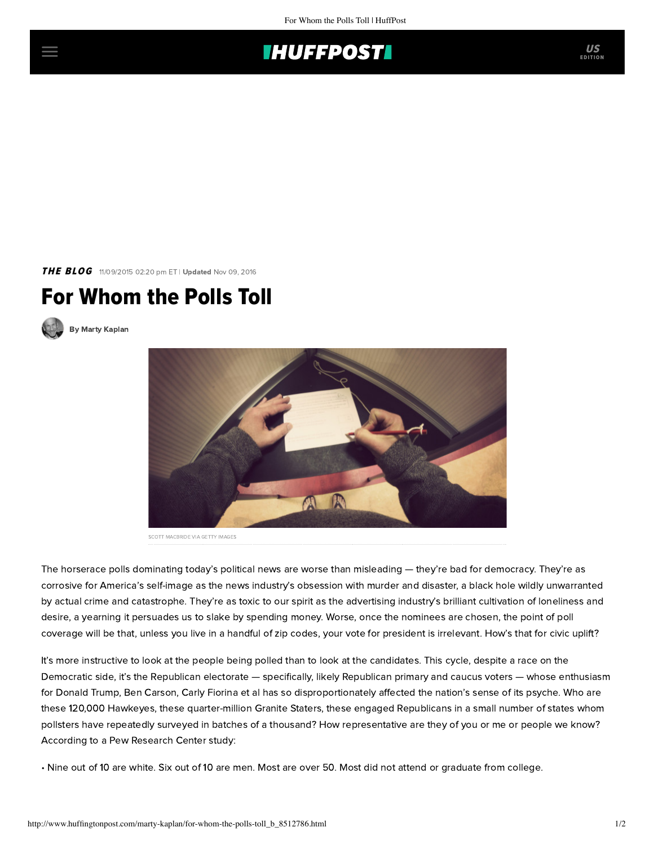

THE BLOG 11/09/2015 02:20 pm ET | Updated Nov 09, 2016

## For Whom the Polls Toll



[By Marty Kaplan](http://www.huffingtonpost.com/author/marty-kaplan)



SCOTT MACBRIDE VIA GETTY IMAGES

The horserace polls dominating today's political news are worse than misleading — they're bad for democracy. They're as corrosive for America's self-image as the news industry's obsession with murder and disaster, a black hole wildly unwarranted by actual crime and catastrophe. They're as toxic to our spirit as the advertising industry's brilliant cultivation of loneliness and desire, a yearning it persuades us to slake by spending money. Worse, once the nominees are chosen, the point of poll coverage will be that, unless you live in a handful of zip codes, your vote for president is irrelevant. How's that for civic uplift?

It's more instructive to look at the people being polled than to look at the candidates. This cycle, despite a race on the Democratic side, it's the Republican electorate — specifically, likely Republican primary and caucus voters — whose enthusiasm for Donald Trump, Ben Carson, Carly Fiorina et al has so disproportionately affected the nation's sense of its psyche. Who are these 120,000 Hawkeyes, these quarter-million Granite Staters, these engaged Republicans in a small number of states whom pollsters have repeatedly surveyed in batches of a thousand? How representative are they of you or me or people we know? According toa [Pew](http://www.pewresearch.org/packages/political-polarization/) Research Center study:

• Nine out of 10 are white. Six out of 10 are men. Most are over 50. Most did not attend or graduate from college.